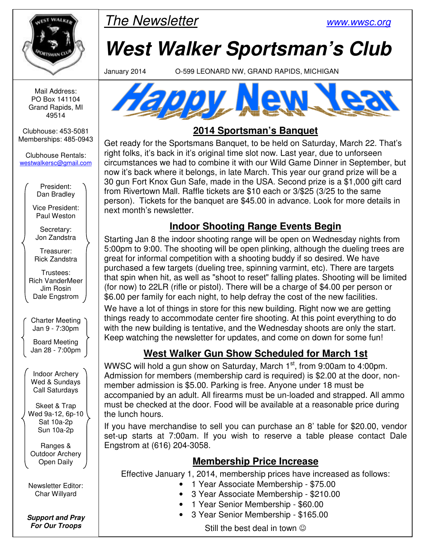

The Newsletter www.wwsc.org

# **West Walker Sportsman's Club**

January 2014 O-599 LEONARD NW, GRAND RAPIDS, MICHIGAN

Mail Address: PO Box 141104 Grand Rapids, MI 49514

Clubhouse: 453-5081 Memberships: 485-0943

Clubhouse Rentals: westwalkersc@gmail.com

> President: Dan Bradley

Vice President: Paul Weston

Secretary: Jon Zandstra

Treasurer: Rick Zandstra

Trustees: Rich VanderMeer Jim Rosin Dale Engstrom

Charter Meeting Jan 9 - 7:30pm

Board Meeting Jan 28 - 7:00pm

Indoor Archery Wed & Sundays Call Saturdays

Skeet & Trap Wed 9a-12, 6p-10 Sat 10a-2p Sun 10a-2p

Ranges & Outdoor Archery Open Daily

Newsletter Editor: Char Willyard

**Support and Pray For Our Troops** 



## **2014 Sportsman's Banquet**

Get ready for the Sportsmans Banquet, to be held on Saturday, March 22. That's right folks, it's back in it's original time slot now. Last year, due to unforseen circumstances we had to combine it with our Wild Game Dinner in September, but now it's back where it belongs, in late March. This year our grand prize will be a 30 gun Fort Knox Gun Safe, made in the USA. Second prize is a \$1,000 gift card from Rivertown Mall. Raffle tickets are \$10 each or 3/\$25 (3/25 to the same person). Tickets for the banquet are \$45.00 in advance. Look for more details in next month's newsletter.

### **Indoor Shooting Range Events Begin**

Starting Jan 8 the indoor shooting range will be open on Wednesday nights from 5:00pm to 9:00. The shooting will be open plinking, although the dueling trees are great for informal competition with a shooting buddy if so desired. We have purchased a few targets (dueling tree, spinning varmint, etc). There are targets that spin when hit, as well as "shoot to reset" falling plates. Shooting will be limited (for now) to 22LR (rifle or pistol). There will be a charge of \$4.00 per person or \$6.00 per family for each night, to help defray the cost of the new facilities.

We have a lot of things in store for this new building. Right now we are getting things ready to accommodate center fire shooting. At this point everything to do with the new building is tentative, and the Wednesday shoots are only the start. Keep watching the newsletter for updates, and come on down for some fun!

# **West Walker Gun Show Scheduled for March 1st**

WWSC will hold a gun show on Saturday, March 1<sup>st</sup>, from 9:00am to 4:00pm. Admission for members (membership card is required) is \$2.00 at the door, nonmember admission is \$5.00. Parking is free. Anyone under 18 must be accompanied by an adult. All firearms must be un-loaded and strapped. All ammo must be checked at the door. Food will be available at a reasonable price during the lunch hours.

If you have merchandise to sell you can purchase an 8' table for \$20.00, vendor set-up starts at 7:00am. If you wish to reserve a table please contact Dale Engstrom at (616) 204-3058.

#### **Membership Price Increase**

Effective January 1, 2014, membership prices have increased as follows:

- 1 Year Associate Membership \$75.00
- 3 Year Associate Membership \$210.00
- 1 Year Senior Membership \$60.00
- 3 Year Senior Membership \$165.00

Still the best deal in town  $\odot$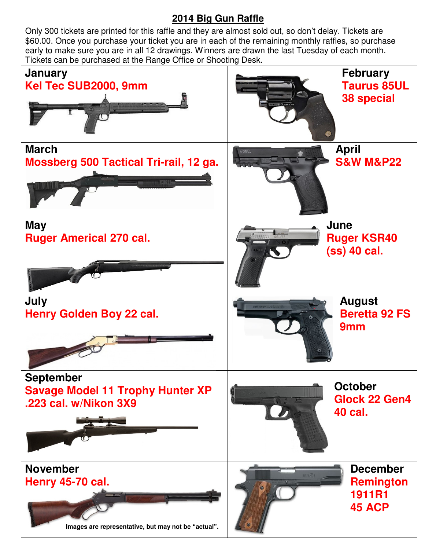#### **2014 Big Gun Raffle**

 early to make sure you are in all 12 drawings. Winners are drawn the last Tuesday of each month. Only 300 tickets are printed for this raffle and they are almost sold out, so don't delay. Tickets are \$60.00. Once you purchase your ticket you are in each of the remaining monthly raffles, so purchase Tickets can be purchased at the Range Office or Shooting Desk.

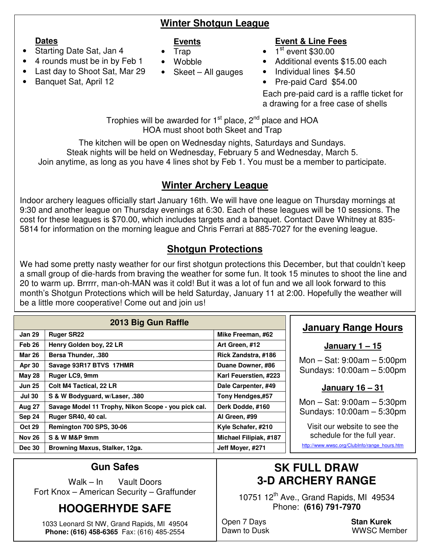#### **Winter Shotgun League**

#### **Dates**

#### **Events**

- Starting Date Sat, Jan 4
- 4 rounds must be in by Feb 1
- Last day to Shoot Sat, Mar 29
- Banquet Sat, April 12
- Trap
- Wobble
- Skeet All gauges

#### **Event & Line Fees**

- $\bullet$   $\overline{1}$ <sup>st</sup> event \$30.00
- Additional events \$15.00 each
- Individual lines \$4.50
- Pre-paid Card \$54.00

Each pre-paid card is a raffle ticket for a drawing for a free case of shells

Trophies will be awarded for  $1<sup>st</sup>$  place,  $2<sup>nd</sup>$  place and HOA HOA must shoot both Skeet and Trap

The kitchen will be open on Wednesday nights, Saturdays and Sundays. Steak nights will be held on Wednesday, February 5 and Wednesday, March 5. Join anytime, as long as you have 4 lines shot by Feb 1. You must be a member to participate.

#### **Winter Archery League**

Indoor archery leagues officially start January 16th. We will have one league on Thursday mornings at 9:30 and another league on Thursday evenings at 6:30. Each of these leagues will be 10 sessions. The cost for these leagues is \$70.00, which includes targets and a banquet. Contact Dave Whitney at 835- 5814 for information on the morning league and Chris Ferrari at 885-7027 for the evening league.

# **Shotgun Protections**

We had some pretty nasty weather for our first shotgun protections this December, but that couldn't keep a small group of die-hards from braving the weather for some fun. It took 15 minutes to shoot the line and 20 to warm up. Brrrrr, man-oh-MAN was it cold! But it was a lot of fun and we all look forward to this month's Shotgun Protections which will be held Saturday, January 11 at 2:00. Hopefully the weather will be a little more cooperative! Come out and join us!

| 2013 Big Gun Raffle |                                                     |                               |  |  |  |  |
|---------------------|-----------------------------------------------------|-------------------------------|--|--|--|--|
| <b>Jan 29</b>       | <b>Ruger SR22</b>                                   | Mike Freeman, #62             |  |  |  |  |
| Feb 26              | Henry Golden boy, 22 LR                             | Art Green, #12                |  |  |  |  |
| <b>Mar 26</b>       | <b>Bersa Thunder, .380</b>                          | Rick Zandstra, #186           |  |  |  |  |
| <b>Apr 30</b>       | Savage 93R17 BTVS 17HMR                             | Duane Downer, #86             |  |  |  |  |
| <b>May 28</b>       | Ruger LC9, 9mm                                      | Karl Feuerstien, #223         |  |  |  |  |
| <b>Jun 25</b>       | <b>Colt M4 Tactical, 22 LR</b>                      | Dale Carpenter, #49           |  |  |  |  |
| <b>Jul 30</b>       | S & W Bodyguard, w/Laser, .380                      | Tony Hendges,#57              |  |  |  |  |
| Aug 27              | Savage Model 11 Trophy, Nikon Scope - you pick cal. | Derk Dodde, #160              |  |  |  |  |
| Sep 24              | Ruger SR40, 40 cal.                                 | Al Green, #99                 |  |  |  |  |
| <b>Oct 29</b>       | <b>Remington 700 SPS, 30-06</b>                     | Kyle Schafer, #210            |  |  |  |  |
| <b>Nov 26</b>       | S & W M&P 9mm                                       | <b>Michael Filipiak, #187</b> |  |  |  |  |
| <b>Dec 30</b>       | Browning Maxus, Stalker, 12ga.                      | Jeff Moyer, #271              |  |  |  |  |

#### **January Range Hours**

**January 1 – 15**

Mon – Sat: 9:00am – 5:00pm Sundays: 10:00am – 5:00pm

#### **January 16 – 31**

Mon – Sat: 9:00am – 5:30pm Sundays: 10:00am – 5:30pm

Visit our website to see the schedule for the full year.

http://www.wwsc.org/ClubInfo/range\_hours.htm

#### **Gun Safes**

Walk – In Vault Doors Fort Knox – American Security – Graffunder

# **HOOGERHYDE SAFE**

1033 Leonard St NW, Grand Rapids, MI 49504 **Phone: (616) 458-6365** Fax: (616) 485-2554

# **SK FULL DRAW 3-D ARCHERY RANGE**

10751 12<sup>th</sup> Ave., Grand Rapids, MI 49534 Phone: **(616) 791-7970** 

Open 7 Days<br>
Dawn to Dusk **Stan Kurek**<br>
UWSC Men

WWSC Member